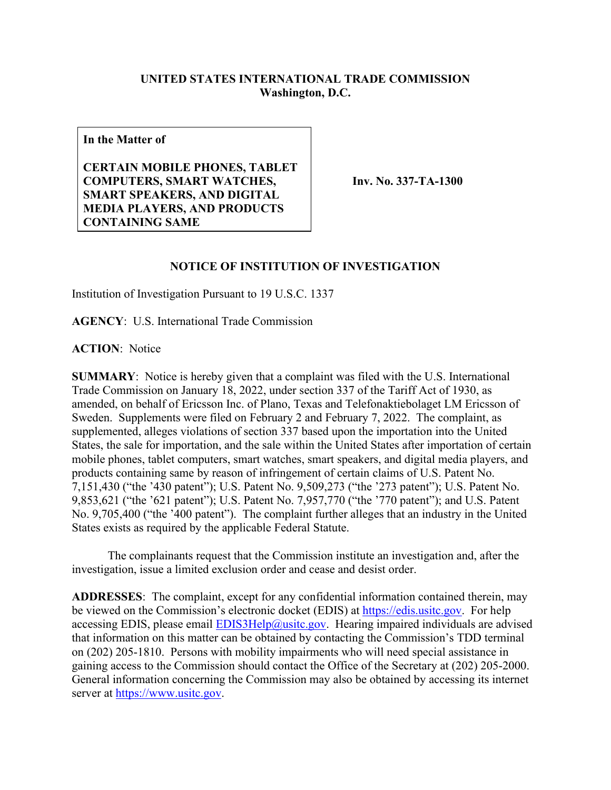## **UNITED STATES INTERNATIONAL TRADE COMMISSION Washington, D.C.**

**In the Matter of**

**CERTAIN MOBILE PHONES, TABLET COMPUTERS, SMART WATCHES, SMART SPEAKERS, AND DIGITAL MEDIA PLAYERS, AND PRODUCTS CONTAINING SAME**

**Inv. No. 337-TA-1300**

## **NOTICE OF INSTITUTION OF INVESTIGATION**

Institution of Investigation Pursuant to 19 U.S.C. 1337

**AGENCY**: U.S. International Trade Commission

**ACTION**: Notice

**SUMMARY**: Notice is hereby given that a complaint was filed with the U.S. International Trade Commission on January 18, 2022, under section 337 of the Tariff Act of 1930, as amended, on behalf of Ericsson Inc. of Plano, Texas and Telefonaktiebolaget LM Ericsson of Sweden. Supplements were filed on February 2 and February 7, 2022. The complaint, as supplemented, alleges violations of section 337 based upon the importation into the United States, the sale for importation, and the sale within the United States after importation of certain mobile phones, tablet computers, smart watches, smart speakers, and digital media players, and products containing same by reason of infringement of certain claims of U.S. Patent No. 7,151,430 ("the '430 patent"); U.S. Patent No. 9,509,273 ("the '273 patent"); U.S. Patent No. 9,853,621 ("the '621 patent"); U.S. Patent No. 7,957,770 ("the '770 patent"); and U.S. Patent No. 9,705,400 ("the '400 patent"). The complaint further alleges that an industry in the United States exists as required by the applicable Federal Statute.

The complainants request that the Commission institute an investigation and, after the investigation, issue a limited exclusion order and cease and desist order.

**ADDRESSES**: The complaint, except for any confidential information contained therein, may be viewed on the Commission's electronic docket (EDIS) at [https://edis.usitc.gov.](https://edis.usitc.gov/) For help accessing EDIS, please email  $EDIS3Help@usite.gov$ . Hearing impaired individuals are advised that information on this matter can be obtained by contacting the Commission's TDD terminal on (202) 205-1810. Persons with mobility impairments who will need special assistance in gaining access to the Commission should contact the Office of the Secretary at (202) 205-2000. General information concerning the Commission may also be obtained by accessing its internet server at [https://www.usitc.gov.](https://www.usitc.gov/)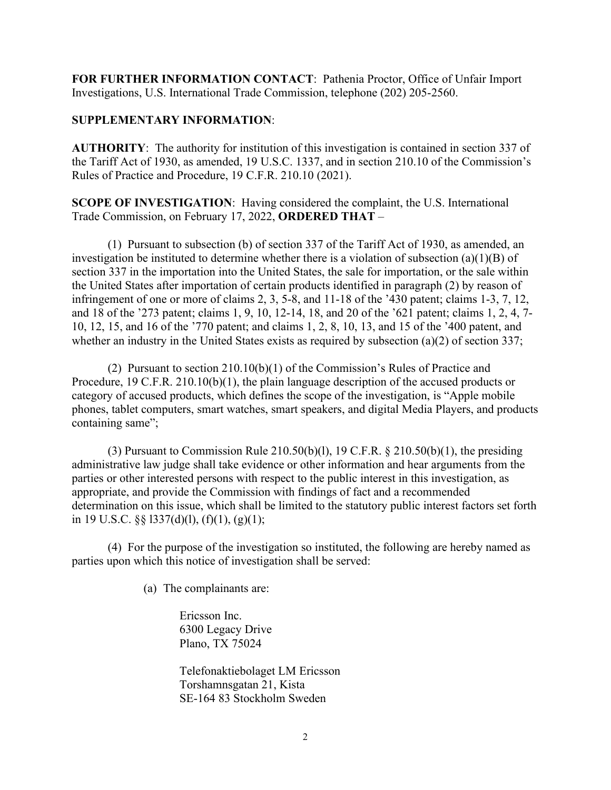**FOR FURTHER INFORMATION CONTACT**: Pathenia Proctor, Office of Unfair Import Investigations, U.S. International Trade Commission, telephone (202) 205-2560.

## **SUPPLEMENTARY INFORMATION**:

**AUTHORITY**: The authority for institution of this investigation is contained in section 337 of the Tariff Act of 1930, as amended, 19 U.S.C. 1337, and in section 210.10 of the Commission's Rules of Practice and Procedure, 19 C.F.R. 210.10 (2021).

**SCOPE OF INVESTIGATION**: Having considered the complaint, the U.S. International Trade Commission, on February 17, 2022, **ORDERED THAT** –

(1) Pursuant to subsection (b) of section 337 of the Tariff Act of 1930, as amended, an investigation be instituted to determine whether there is a violation of subsection (a)(1)(B) of section 337 in the importation into the United States, the sale for importation, or the sale within the United States after importation of certain products identified in paragraph (2) by reason of infringement of one or more of claims 2, 3, 5-8, and 11-18 of the '430 patent; claims 1-3, 7, 12, and 18 of the '273 patent; claims 1, 9, 10, 12-14, 18, and 20 of the '621 patent; claims 1, 2, 4, 7- 10, 12, 15, and 16 of the '770 patent; and claims 1, 2, 8, 10, 13, and 15 of the '400 patent, and whether an industry in the United States exists as required by subsection (a)(2) of section 337;

(2) Pursuant to section 210.10(b)(1) of the Commission's Rules of Practice and Procedure, 19 C.F.R. 210.10(b)(1), the plain language description of the accused products or category of accused products, which defines the scope of the investigation, is "Apple mobile phones, tablet computers, smart watches, smart speakers, and digital Media Players, and products containing same";

(3) Pursuant to Commission Rule  $210.50(b)(1)$ , 19 C.F.R. §  $210.50(b)(1)$ , the presiding administrative law judge shall take evidence or other information and hear arguments from the parties or other interested persons with respect to the public interest in this investigation, as appropriate, and provide the Commission with findings of fact and a recommended determination on this issue, which shall be limited to the statutory public interest factors set forth in 19 U.S.C.  $\S$ § 1337(d)(1), (f)(1), (g)(1);

(4) For the purpose of the investigation so instituted, the following are hereby named as parties upon which this notice of investigation shall be served:

(a) The complainants are:

Ericsson Inc. 6300 Legacy Drive Plano, TX 75024

Telefonaktiebolaget LM Ericsson Torshamnsgatan 21, Kista SE-164 83 Stockholm Sweden